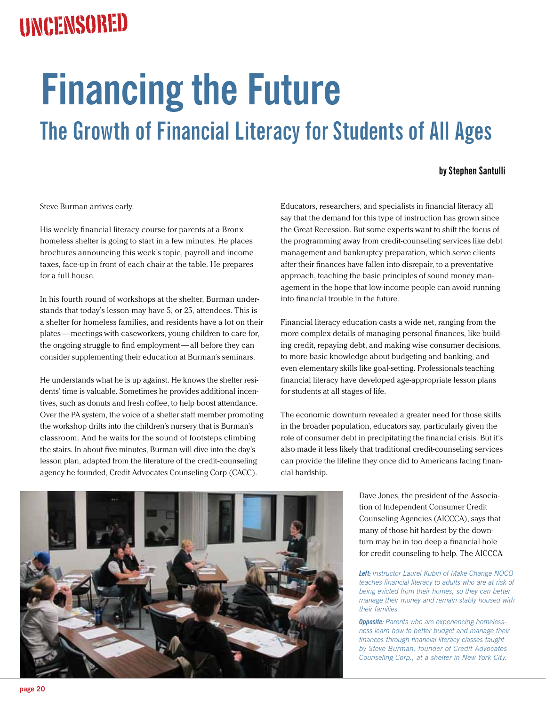## Uncensored

## **Financing the Future The Growth of Financial Literacy for Students of All Ages**

## **by Stephen Santulli**

Steve Burman arrives early.

His weekly financial literacy course for parents at a Bronx homeless shelter is going to start in a few minutes. He places brochures announcing this week's topic, payroll and income taxes, face-up in front of each chair at the table. He prepares for a full house.

In his fourth round of workshops at the shelter, Burman understands that today's lesson may have 5, or 25, attendees. This is a shelter for homeless families, and residents have a lot on their plates — meetings with caseworkers, young children to care for, the ongoing struggle to find employment— all before they can consider supplementing their education at Burman's seminars.

He understands what he is up against. He knows the shelter residents' time is valuable. Sometimes he provides additional incentives, such as donuts and fresh coffee, to help boost attendance. Over the PA system, the voice of a shelter staff member promoting the workshop drifts into the children's nursery that is Burman's classroom. And he waits for the sound of footsteps climbing the stairs. In about five minutes, Burman will dive into the day's lesson plan, adapted from the literature of the credit-counseling agency he founded, Credit Advocates Counseling Corp (CACC).

Educators, researchers, and specialists in financial literacy all say that the demand for this type of instruction has grown since the Great Recession. But some experts want to shift the focus of the programming away from credit-counseling services like debt management and bankruptcy preparation, which serve clients after their finances have fallen into disrepair, to a preventative approach, teaching the basic principles of sound money management in the hope that low-income people can avoid running into financial trouble in the future.

Financial literacy education casts a wide net, ranging from the more complex details of managing personal finances, like building credit, repaying debt, and making wise consumer decisions, to more basic knowledge about budgeting and banking, and even elementary skills like goal-setting. Professionals teaching financial literacy have developed age-appropriate lesson plans for students at all stages of life.

The economic downturn revealed a greater need for those skills in the broader population, educators say, particularly given the role of consumer debt in precipitating the financial crisis. But it's also made it less likely that traditional credit-counseling services can provide the lifeline they once did to Americans facing financial hardship.

> Dave Jones, the president of the Association of Independent Consumer Credit Counseling Agencies (AICCCA), says that many of those hit hardest by the downturn may be in too deep a financial hole for credit counseling to help. The AICCCA

*Left: Instructor Laurel Kubin of Make Change NOCO teaches financial literacy to adults who are at risk of being evicted from their homes, so they can better manage their money and remain stably housed with their families.*

*Opposite: Parents who are experiencing homelessness learn how to better budget and manage their finances through financial literacy classes taught by Steve Burman, founder of Credit Advocates Counseling Corp., at a shelter in New York City.*

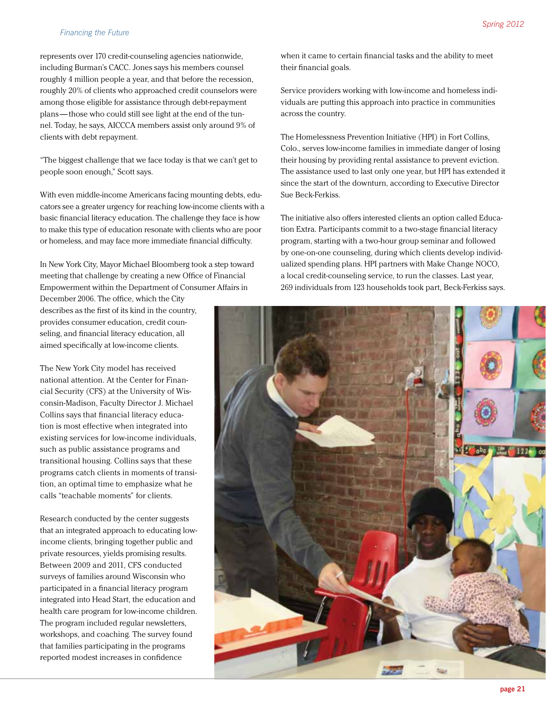represents over 170 credit-counseling agencies nationwide, including Burman's CACC. Jones says his members counsel roughly 4 million people a year, and that before the recession, roughly 20% of clients who approached credit counselors were among those eligible for assistance through debt-repayment plans — those who could still see light at the end of the tunnel. Today, he says, AICCCA members assist only around 9% of clients with debt repayment.

"The biggest challenge that we face today is that we can't get to people soon enough," Scott says.

With even middle-income Americans facing mounting debts, educators see a greater urgency for reaching low-income clients with a basic financial literacy education. The challenge they face is how to make this type of education resonate with clients who are poor or homeless, and may face more immediate financial difficulty.

In New York City, Mayor Michael Bloomberg took a step toward meeting that challenge by creating a new Office of Financial Empowerment within the Department of Consumer Affairs in

December 2006. The office, which the City describes as the first of its kind in the country, provides consumer education, credit counseling, and financial literacy education, all aimed specifically at low-income clients.

The New York City model has received national attention. At the Center for Financial Security (CFS) at the University of Wisconsin-Madison, Faculty Director J. Michael Collins says that financial literacy education is most effective when integrated into existing services for low-income individuals, such as public assistance programs and transitional housing. Collins says that these programs catch clients in moments of transition, an optimal time to emphasize what he calls "teachable moments" for clients.

Research conducted by the center suggests that an integrated approach to educating lowincome clients, bringing together public and private resources, yields promising results. Between 2009 and 2011, CFS conducted surveys of families around Wisconsin who participated in a financial literacy program integrated into Head Start, the education and health care program for low-income children. The program included regular newsletters, workshops, and coaching. The survey found that families participating in the programs reported modest increases in confidence

when it came to certain financial tasks and the ability to meet their financial goals.

Service providers working with low-income and homeless individuals are putting this approach into practice in communities across the country.

The Homelessness Prevention Initiative (HPI) in Fort Collins, Colo., serves low-income families in immediate danger of losing their housing by providing rental assistance to prevent eviction. The assistance used to last only one year, but HPI has extended it since the start of the downturn, according to Executive Director Sue Beck-Ferkiss.

The initiative also offers interested clients an option called Education Extra. Participants commit to a two-stage financial literacy program, starting with a two-hour group seminar and followed by one-on-one counseling, during which clients develop individualized spending plans. HPI partners with Make Change NOCO, a local credit-counseling service, to run the classes. Last year, 269 individuals from 123 households took part, Beck-Ferkiss says.

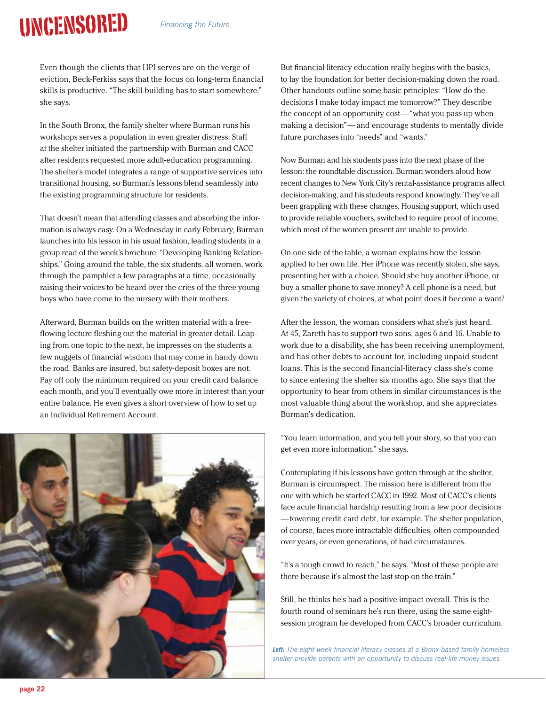## Uncensored

Even though the clients that HPI serves are on the verge of eviction, Beck-Ferkiss says that the focus on long-term financial skills is productive. "The skill-building has to start somewhere," she says.

In the South Bronx, the family shelter where Burman runs his workshops serves a population in even greater distress. Staff at the shelter initiated the partnership with Burman and CACC after residents requested more adult-education programming. The shelter's model integrates a range of supportive services into transitional housing, so Burman's lessons blend seamlessly into the existing programming structure for residents.

That doesn't mean that attending classes and absorbing the information is always easy. On a Wednesday in early February, Burman launches into his lesson in his usual fashion, leading students in a group read of the week's brochure, "Developing Banking Relationships." Going around the table, the six students, all women, work through the pamphlet a few paragraphs at a time, occasionally raising their voices to be heard over the cries of the three young boys who have come to the nursery with their mothers.

Afterward, Burman builds on the written material with a freeflowing lecture fleshing out the material in greater detail. Leaping from one topic to the next, he impresses on the students a few nuggets of financial wisdom that may come in handy down the road. Banks are insured, but safety-deposit boxes are not. Pay off only the minimum required on your credit card balance each month, and you'll eventually owe more in interest than your entire balance. He even gives a short overview of how to set up an Individual Retirement Account.



But financial literacy education really begins with the basics, to lay the foundation for better decision-making down the road. Other handouts outline some basic principles: "How do the decisions I make today impact me tomorrow?" They describe the concept of an opportunity cost—"what you pass up when making a decision"— and encourage students to mentally divide future purchases into "needs" and "wants."

Now Burman and his students pass into the next phase of the lesson: the roundtable discussion. Burman wonders aloud how recent changes to New York City's rental-assistance programs affect decision-making, and his students respond knowingly. They've all been grappling with these changes. Housing support, which used to provide reliable vouchers, switched to require proof of income, which most of the women present are unable to provide.

On one side of the table, a woman explains how the lesson applied to her own life. Her iPhone was recently stolen, she says, presenting her with a choice. Should she buy another iPhone, or buy a smaller phone to save money? A cell phone is a need, but given the variety of choices, at what point does it become a want?

After the lesson, the woman considers what she's just heard. At 45, Zareth has to support two sons, ages 6 and 16. Unable to work due to a disability, she has been receiving unemployment, and has other debts to account for, including unpaid student loans. This is the second financial-literacy class she's come to since entering the shelter six months ago. She says that the opportunity to hear from others in similar circumstances is the most valuable thing about the workshop, and she appreciates Burman's dedication.

"You learn information, and you tell your story, so that you can get even more information," she says.

Contemplating if his lessons have gotten through at the shelter, Burman is circumspect. The mission here is different from the one with which he started CACC in 1992. Most of CACC's clients face acute financial hardship resulting from a few poor decisions — towering credit card debt, for example. The shelter population, of course, faces more intractable difficulties, often compounded over years, or even generations, of bad circumstances.

"It's a tough crowd to reach," he says. "Most of these people are there because it's almost the last stop on the train."

Still, he thinks he's had a positive impact overall. This is the fourth round of seminars he's run there, using the same eightsession program he developed from CACC's broader curriculum.

*Left: The eight-week financial literacy classes at a Bronx-based family homeless shelter provide parents with an opportunity to discuss real-life money issues.*